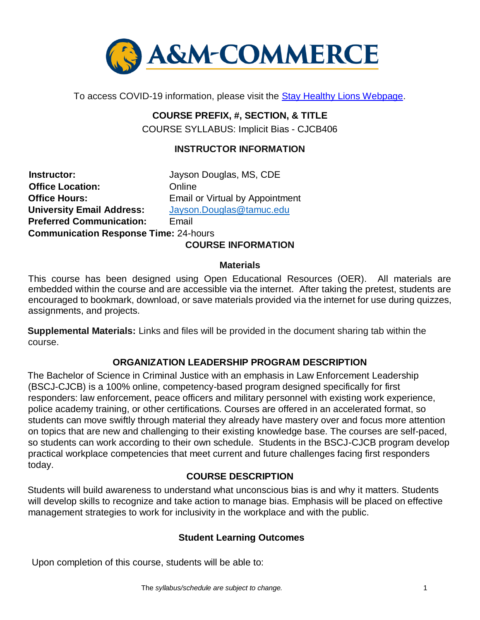

To access COVID-19 information, please visit the [Stay Healthy Lions Webpage.](https://new.tamuc.edu/coronavirus/) 

# **COURSE PREFIX, #, SECTION, & TITLE**

COURSE SYLLABUS: Implicit Bias - CJCB406

#### **INSTRUCTOR INFORMATION**

**Instructor:** Jayson Douglas, MS, CDE **Office Location:** Online **Office Hours:** Email or Virtual by Appointment **University Email Address:** [Jayson.Douglas@tamuc.edu](mailto:Jayson.Douglas@tamuc.edu) **Preferred Communication:** Email **Communication Response Time:** 24-hours

#### **COURSE INFORMATION**

#### **Materials**

This course has been designed using Open Educational Resources (OER). All materials are embedded within the course and are accessible via the internet. After taking the pretest, students are encouraged to bookmark, download, or save materials provided via the internet for use during quizzes, assignments, and projects.

**Supplemental Materials:** Links and files will be provided in the document sharing tab within the course.

### **ORGANIZATION LEADERSHIP PROGRAM DESCRIPTION**

The Bachelor of Science in Criminal Justice with an emphasis in Law Enforcement Leadership (BSCJ-CJCB) is a 100% online, competency-based program designed specifically for first responders: law enforcement, peace officers and military personnel with existing work experience, police academy training, or other certifications. Courses are offered in an accelerated format, so students can move swiftly through material they already have mastery over and focus more attention on topics that are new and challenging to their existing knowledge base. The courses are self-paced, so students can work according to their own schedule. Students in the BSCJ-CJCB program develop practical workplace competencies that meet current and future challenges facing first responders today.

### **[COURSE DESCRIPTION](http://catalog.tamuc.edu/undergrad/colleges-and-departments/college-of-innovation-design/baas-organizational-leadership/?_ga=2.81546143.928332977.1616426723-584154711.1595512675)**

Students will build awareness to understand what unconscious bias is and why it matters. Students will develop skills to recognize and take action to manage bias. Emphasis will be placed on effective management strategies to work for inclusivity in the workplace and with the public.

#### **Student Learning Outcomes**

Upon completion of this course, students will be able to: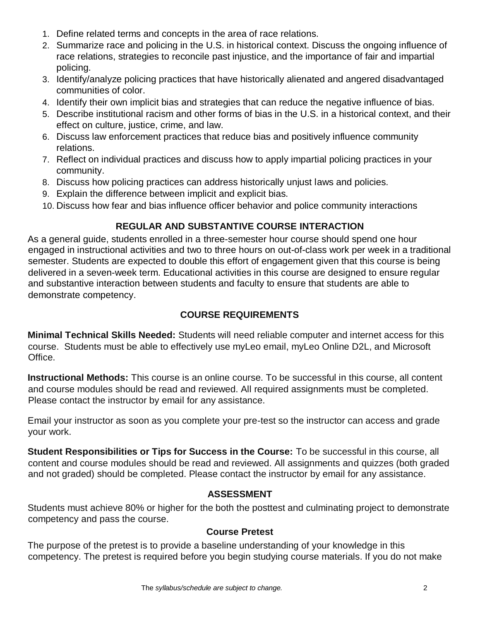- 1. Define related terms and concepts in the area of race relations.
- 2. Summarize race and policing in the U.S. in historical context. Discuss the ongoing influence of race relations, strategies to reconcile past injustice, and the importance of fair and impartial policing.
- 3. Identify/analyze policing practices that have historically alienated and angered disadvantaged communities of color.
- 4. Identify their own implicit bias and strategies that can reduce the negative influence of bias.
- 5. Describe institutional racism and other forms of bias in the U.S. in a historical context, and their effect on culture, justice, crime, and law.
- 6. Discuss law enforcement practices that reduce bias and positively influence community relations.
- 7. Reflect on individual practices and discuss how to apply impartial policing practices in your community.
- 8. Discuss how policing practices can address historically unjust laws and policies.
- 9. Explain the difference between implicit and explicit bias.
- 10. Discuss how fear and bias influence officer behavior and police community interactions

## **REGULAR AND SUBSTANTIVE COURSE INTERACTION**

As a general guide, students enrolled in a three-semester hour course should spend one hour engaged in instructional activities and two to three hours on out-of-class work per week in a traditional semester. Students are expected to double this effort of engagement given that this course is being delivered in a seven-week term. Educational activities in this course are designed to ensure regular and substantive interaction between students and faculty to ensure that students are able to demonstrate competency.

## **COURSE REQUIREMENTS**

**Minimal Technical Skills Needed:** Students will need reliable computer and internet access for this course. Students must be able to effectively use myLeo email, myLeo Online D2L, and Microsoft Office.

**Instructional Methods:** This course is an online course. To be successful in this course, all content and course modules should be read and reviewed. All required assignments must be completed. Please contact the instructor by email for any assistance.

Email your instructor as soon as you complete your pre-test so the instructor can access and grade your work.

**Student Responsibilities or Tips for Success in the Course:** To be successful in this course, all content and course modules should be read and reviewed. All assignments and quizzes (both graded and not graded) should be completed. Please contact the instructor by email for any assistance.

## **ASSESSMENT**

Students must achieve 80% or higher for the both the posttest and culminating project to demonstrate competency and pass the course.

## **Course Pretest**

The purpose of the pretest is to provide a baseline understanding of your knowledge in this competency. The pretest is required before you begin studying course materials. If you do not make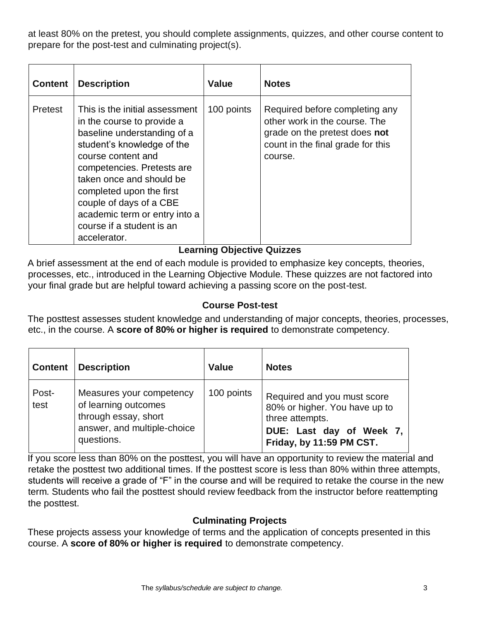at least 80% on the pretest, you should complete assignments, quizzes, and other course content to prepare for the post-test and culminating project(s).

| <b>Content</b> | <b>Description</b>                                                                                                                                                                                                                                                                                                                             | <b>Value</b> | <b>Notes</b>                                                                                                                                     |
|----------------|------------------------------------------------------------------------------------------------------------------------------------------------------------------------------------------------------------------------------------------------------------------------------------------------------------------------------------------------|--------------|--------------------------------------------------------------------------------------------------------------------------------------------------|
| Pretest        | This is the initial assessment<br>in the course to provide a<br>baseline understanding of a<br>student's knowledge of the<br>course content and<br>competencies. Pretests are<br>taken once and should be<br>completed upon the first<br>couple of days of a CBE<br>academic term or entry into a<br>course if a student is an<br>accelerator. | 100 points   | Required before completing any<br>other work in the course. The<br>grade on the pretest does not<br>count in the final grade for this<br>course. |

## **Learning Objective Quizzes**

A brief assessment at the end of each module is provided to emphasize key concepts, theories, processes, etc., introduced in the Learning Objective Module. These quizzes are not factored into your final grade but are helpful toward achieving a passing score on the post-test.

#### **Course Post-test**

The posttest assesses student knowledge and understanding of major concepts, theories, processes, etc., in the course. A **score of 80% or higher is required** to demonstrate competency.

| <b>Content</b> | <b>Description</b>                                                                                                    | <b>Value</b> | <b>Notes</b>                                                                                                                            |
|----------------|-----------------------------------------------------------------------------------------------------------------------|--------------|-----------------------------------------------------------------------------------------------------------------------------------------|
| Post-<br>test  | Measures your competency<br>of learning outcomes<br>through essay, short<br>answer, and multiple-choice<br>questions. | 100 points   | Required and you must score<br>80% or higher. You have up to<br>three attempts.<br>DUE: Last day of Week 7,<br>Friday, by 11:59 PM CST. |

If you score less than 80% on the posttest, you will have an opportunity to review the material and retake the posttest two additional times. If the posttest score is less than 80% within three attempts, students will receive a grade of "F" in the course and will be required to retake the course in the new term. Students who fail the posttest should review feedback from the instructor before reattempting the posttest.

### **Culminating Projects**

These projects assess your knowledge of terms and the application of concepts presented in this course. A **score of 80% or higher is required** to demonstrate competency.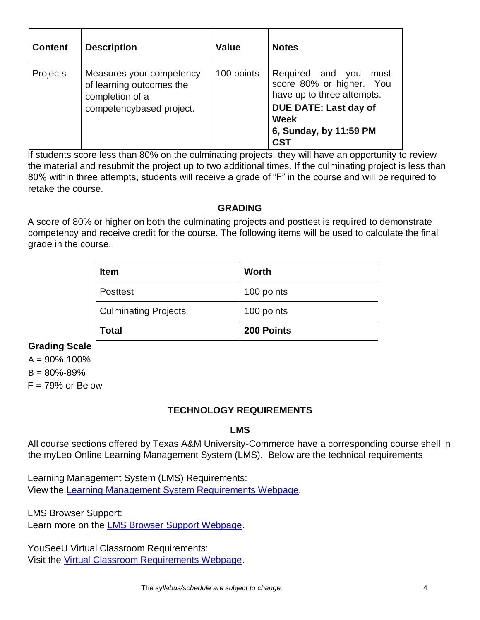| <b>Content</b> | <b>Description</b>                                                                                  | <b>Value</b> | <b>Notes</b>                                                                                                                                                              |
|----------------|-----------------------------------------------------------------------------------------------------|--------------|---------------------------------------------------------------------------------------------------------------------------------------------------------------------------|
| Projects       | Measures your competency<br>of learning outcomes the<br>completion of a<br>competencybased project. | 100 points   | Required and you<br>must<br>score 80% or higher. You<br>have up to three attempts.<br><b>DUE DATE: Last day of</b><br><b>Week</b><br>6, Sunday, by 11:59 PM<br><b>CST</b> |

If students score less than 80% on the culminating projects, they will have an opportunity to review the material and resubmit the project up to two additional times. If the culminating project is less than 80% within three attempts, students will receive a grade of "F" in the course and will be required to retake the course.

#### **GRADING**

A score of 80% or higher on both the culminating projects and posttest is required to demonstrate competency and receive credit for the course. The following items will be used to calculate the final grade in the course.

| <b>Item</b>                 | <b>Worth</b> |  |
|-----------------------------|--------------|--|
| <b>Posttest</b>             | 100 points   |  |
| <b>Culminating Projects</b> | 100 points   |  |
| Total                       | 200 Points   |  |

### **Grading Scale**

 $A = 90\% - 100\%$  $B = 80\% - 89\%$  $F = 79%$  or Below

## **TECHNOLOGY REQUIREMENTS**

### **LMS**

All course sections offered by Texas A&M University-Commerce have a corresponding course shell in the myLeo Online Learning Management System (LMS). Below are the technical requirements

Learning Management System (LMS) Requirements: View the [Learning Management System Requirements Webpage.](https://community.brightspace.com/s/article/Brightspace-Platform-Requirements) 

LMS Browser Support:

Learn more on the **LMS Browser Support Webpage**.

YouSeeU Virtual Classroom Requirements: Visit the [Virtual Classroom Requirements Webpage.](https://support.youseeu.com/hc/en-us/articles/115007031107-Basic-System-Requirements)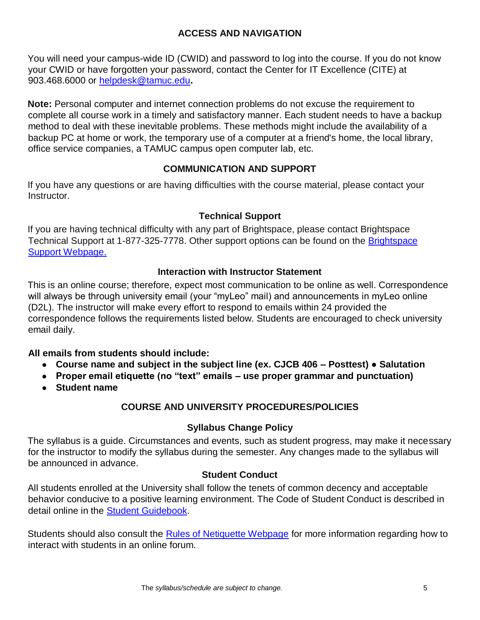### **ACCESS AND NAVIGATION**

You will need your campus-wide ID (CWID) and password to log into the course. If you do not know your CWID or have forgotten your password, contact the Center for IT Excellence (CITE) at 903.468.6000 or helpdesk@tamuc.edu**.** 

**Note:** Personal computer and internet connection problems do not excuse the requirement to complete all course work in a timely and satisfactory manner. Each student needs to have a backup method to deal with these inevitable problems. These methods might include the availability of a backup PC at home or work, the temporary use of a computer at a friend's home, the local library, office service companies, a TAMUC campus open computer lab, etc.

#### **COMMUNICATION AND SUPPORT**

If you have any questions or are having difficulties with the course material, please contact your Instructor.

#### **Technical Support**

If you are having technical difficulty with any part of Brightspace, please contact Brightspace Technical Support at 1-877-325-7778. Other support options can be found on the [Brightspace](https://community.brightspace.com/support/s/contactsupport)  [Support Webpage.](https://community.brightspace.com/support/s/contactsupport)

#### **Interaction with Instructor Statement**

This is an online course; therefore, expect most communication to be online as well. Correspondence will always be through university email (your "myLeo" mail) and announcements in myLeo online (D2L). The instructor will make every effort to respond to emails within 24 provided the correspondence follows the requirements listed below. Students are encouraged to check university email daily.

#### **All emails from students should include:**

- **Course name and subject in the subject line (ex. CJCB 406 – Posttest) Salutation**
- **Proper email etiquette (no "text" emails – use proper grammar and punctuation)**
- **Student name**

### **COURSE AND UNIVERSITY PROCEDURES/POLICIES**

#### **Syllabus Change Policy**

The syllabus is a guide. Circumstances and events, such as student progress, may make it necessary for the instructor to modify the syllabus during the semester. Any changes made to the syllabus will be announced in advance.

#### **Student Conduct**

All students enrolled at the University shall follow the tenets of common decency and acceptable behavior conducive to a positive learning environment. The Code of Student Conduct is described in detail online in the **Student Guidebook**.

Students should also consult the [Rules of Netiquette Webpage](https://www.britannica.com/topic/netiquette) for more information regarding how to interact with students in an online forum.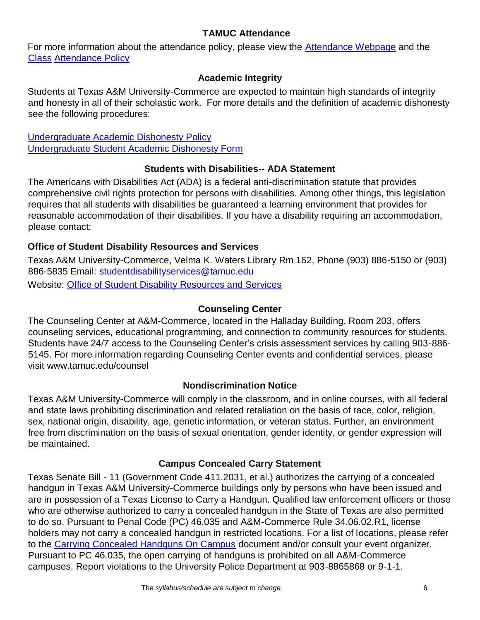### **TAMUC Attendance**

For more information about the attendance policy, please view the [Attendance](http://www.tamuc.edu/admissions/registrar/generalInformation/attendance.aspx) [Webpage](http://www.tamuc.edu/admissions/registrar/generalInformation/attendance.aspx) and the **[Class](http://www.tamuc.edu/aboutUs/policiesProceduresStandardsStatements/rulesProcedures/13students/academic/13.99.99.R0.01.pdf) [Attendance Policy](http://www.tamuc.edu/aboutUs/policiesProceduresStandardsStatements/rulesProcedures/13students/academic/13.99.99.R0.01.pdf)** 

#### **Academic Integrity**

Students at Texas A&M University-Commerce are expected to maintain high standards of integrity and honesty in all of their scholastic work. For more details and the definition of academic dishonesty see the following procedures:

[Undergraduate Academic Dishonesty Po](http://www.tamuc.edu/aboutUs/policiesProceduresStandardsStatements/rulesProcedures/13students/undergraduates/13.99.99.R0.03UndergraduateAcademicDishonesty.pdf)licy [Undergraduate Student Academic Dishonesty Form](http://www.tamuc.edu/aboutUs/policiesProceduresStandardsStatements/rulesProcedures/documents/13.99.99.R0.03UndergraduateStudentAcademicDishonestyForm.pdf)

#### **Students with Disabilities-- ADA Statement**

The Americans with Disabilities Act (ADA) is a federal anti-discrimination statute that provides comprehensive civil rights protection for persons with disabilities. Among other things, this legislation requires that all students with disabilities be guaranteed a learning environment that provides for reasonable accommodation of their disabilities. If you have a disability requiring an accommodation, please contact:

## **Office of Student Disability Resources and Services**

Texas A&M University-Commerce, Velma K. Waters Library Rm 162, Phone (903) 886-5150 or (903) 886-5835 Email: studentdisabilityservices@tamuc.edu Website: [Office of Student Disability Resources and Services](http://www.tamuc.edu/campusLife/campusServices/studentDisabilityResourcesAndServices/)

### **Counseling Center**

The Counseling Center at A&M-Commerce, located in the Halladay Building, Room 203, offers counseling services, educational programming, and connection to community resources for students. Students have 24/7 access to the Counseling Center's crisis assessment services by calling 903-886- 5145. For more information regarding Counseling Center events and confidential services, please visit www.tamuc.edu/counsel

### **Nondiscrimination Notice**

Texas A&M University-Commerce will comply in the classroom, and in online courses, with all federal and state laws prohibiting discrimination and related retaliation on the basis of race, color, religion, sex, national origin, disability, age, genetic information, or veteran status. Further, an environment free from discrimination on the basis of sexual orientation, gender identity, or gender expression will be maintained.

### **Campus Concealed Carry Statement**

Texas Senate Bill - 11 (Government Code 411.2031, et al.) authorizes the carrying of a concealed handgun in Texas A&M University-Commerce buildings only by persons who have been issued and are in possession of a Texas License to Carry a Handgun. Qualified law enforcement officers or those who are otherwise authorized to carry a concealed handgun in the State of Texas are also permitted to do so. Pursuant to Penal Code (PC) 46.035 and A&M-Commerce Rule 34.06.02.R1, license holders may not carry a concealed handgun in restricted locations. For a list of locations, please refer to the [Carrying Concealed Handguns On Campus](http://www.tamuc.edu/aboutUs/policiesProceduresStandardsStatements/rulesProcedures/34SafetyOfEmployeesAndStudents/34.06.02.R1.pdf) document and/or consult your event organizer. Pursuant to PC 46.035, the open carrying of handguns is prohibited on all A&M-Commerce campuses. Report violations to the University Police Department at 903-8865868 or 9-1-1.